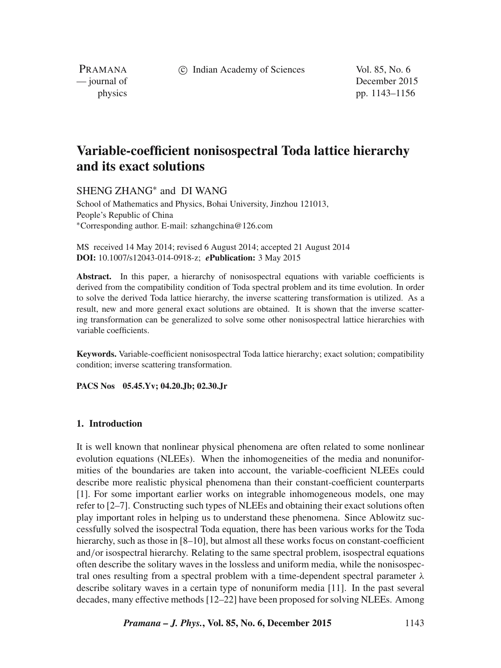c Indian Academy of Sciences Vol. 85, No. 6

PRAMANA<br>
— journal of

December 2015 physics pp. 1143–1156

# **Variable-coefficient nonisospectral Toda lattice hierarchy and its exact solutions**

SHENG ZHANG∗ and DI WANG

School of Mathematics and Physics, Bohai University, Jinzhou 121013, People's Republic of China ∗Corresponding author. E-mail: szhangchina@126.com

MS received 14 May 2014; revised 6 August 2014; accepted 21 August 2014 **DOI:** 10.1007/s12043-014-0918-z; *e***Publication:** 3 May 2015

**Abstract.** In this paper, a hierarchy of nonisospectral equations with variable coefficients is derived from the compatibility condition of Toda spectral problem and its time evolution. In order to solve the derived Toda lattice hierarchy, the inverse scattering transformation is utilized. As a result, new and more general exact solutions are obtained. It is shown that the inverse scattering transformation can be generalized to solve some other nonisospectral lattice hierarchies with variable coefficients.

**Keywords.** Variable-coefficient nonisospectral Toda lattice hierarchy; exact solution; compatibility condition; inverse scattering transformation.

**PACS Nos 05.45.Yv; 04.20.Jb; 02.30.Jr**

## **1. Introduction**

It is well known that nonlinear physical phenomena are often related to some nonlinear evolution equations (NLEEs). When the inhomogeneities of the media and nonuniformities of the boundaries are taken into account, the variable-coefficient NLEEs could describe more realistic physical phenomena than their constant-coefficient counterparts [1]. For some important earlier works on integrable inhomogeneous models, one may refer to [2–7]. Constructing such types of NLEEs and obtaining their exact solutions often play important roles in helping us to understand these phenomena. Since Ablowitz successfully solved the isospectral Toda equation, there has been various works for the Toda hierarchy, such as those in [8–10], but almost all these works focus on constant-coefficient and/or isospectral hierarchy. Relating to the same spectral problem, isospectral equations often describe the solitary waves in the lossless and uniform media, while the nonisospectral ones resulting from a spectral problem with a time-dependent spectral parameter  $\lambda$ describe solitary waves in a certain type of nonuniform media [11]. In the past several decades, many effective methods [12–22] have been proposed for solving NLEEs. Among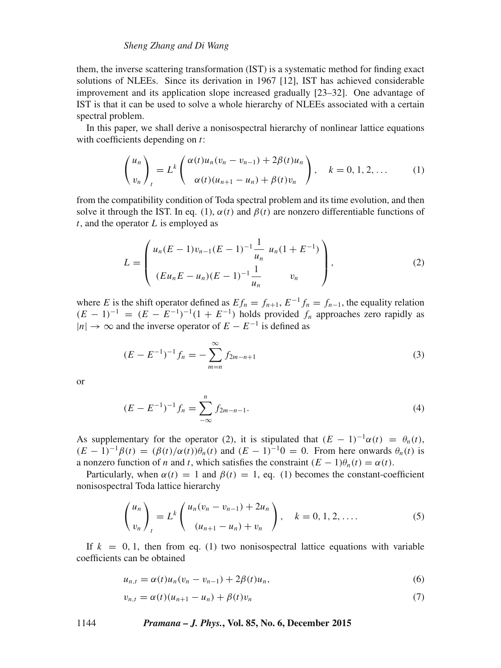## *Sheng Zhang and Di Wang*

them, the inverse scattering transformation (IST) is a systematic method for finding exact solutions of NLEEs. Since its derivation in 1967 [12], IST has achieved considerable improvement and its application slope increased gradually [23–32]. One advantage of IST is that it can be used to solve a whole hierarchy of NLEEs associated with a certain spectral problem.

In this paper, we shall derive a nonisospectral hierarchy of nonlinear lattice equations with coefficients depending on  $t$ :

$$
\begin{pmatrix} u_n \\ v_n \end{pmatrix}_t = L^k \begin{pmatrix} \alpha(t)u_n(v_n - v_{n-1}) + 2\beta(t)u_n \\ \alpha(t)(u_{n+1} - u_n) + \beta(t)v_n \end{pmatrix}, \quad k = 0, 1, 2, ... \tag{1}
$$

from the compatibility condition of Toda spectral problem and its time evolution, and then solve it through the IST. In eq. (1),  $\alpha(t)$  and  $\beta(t)$  are nonzero differentiable functions of  $t$ , and the operator  $L$  is employed as

$$
L = \begin{pmatrix} u_n(E-1)v_{n-1}(E-1)^{-1} \frac{1}{u_n} u_n(1+E^{-1}) \\ (Eu_nE - u_n)(E-1)^{-1} \frac{1}{u_n} v_n \end{pmatrix},
$$
 (2)

where E is the shift operator defined as  $Ef_n = f_{n+1}$ ,  $E^{-1}f_n = f_{n-1}$ , the equality relation  $(E-1)^{-1} = (E - E^{-1})^{-1}(1 + E^{-1})$  holds provided  $f_n$  approaches zero rapidly as  $|n| \to \infty$  and the inverse operator of  $E - E^{-1}$  is defined as

$$
(E - E^{-1})^{-1} f_n = -\sum_{m=n}^{\infty} f_{2m-n+1}
$$
 (3)

or

$$
(E - E^{-1})^{-1} f_n = \sum_{-\infty}^n f_{2m-n-1}.
$$
\n(4)

As supplementary for the operator (2), it is stipulated that  $(E - 1)^{-1} \alpha(t) = \theta_n(t)$ ,  $(E-1)^{-1}\beta(t) = (\beta(t)/\alpha(t))\theta_n(t)$  and  $(E-1)^{-1}0 = 0$ . From here onwards  $\theta_n(t)$  is a nonzero function of n and t, which satisfies the constraint  $(E - 1)\theta_n(t) = \alpha(t)$ .

Particularly, when  $\alpha(t) = 1$  and  $\beta(t) = 1$ , eq. (1) becomes the constant-coefficient nonisospectral Toda lattice hierarchy

$$
\binom{u_n}{v_n}_t = L^k \binom{u_n(v_n - v_{n-1}) + 2u_n}{(u_{n+1} - u_n) + v_n}, \quad k = 0, 1, 2, .... \tag{5}
$$

If  $k = 0, 1$ , then from eq. (1) two nonisospectral lattice equations with variable coefficients can be obtained

$$
u_{n,t} = \alpha(t)u_n(v_n - v_{n-1}) + 2\beta(t)u_n,
$$
\n(6)

$$
v_{n,t} = \alpha(t)(u_{n+1} - u_n) + \beta(t)v_n
$$
\n<sup>(7)</sup>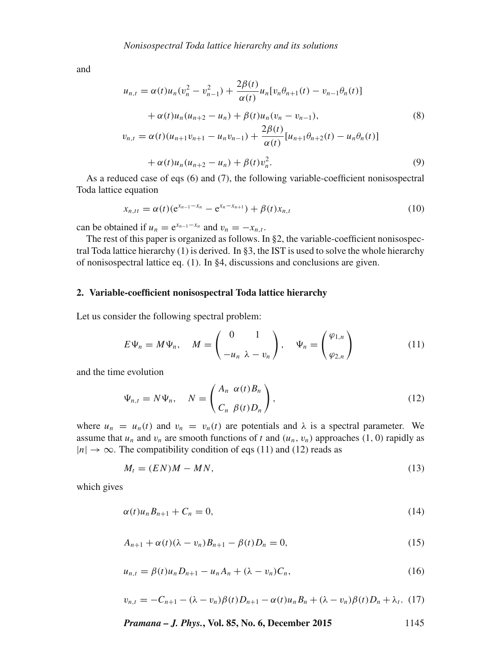and

$$
u_{n,t} = \alpha(t)u_n(v_n^2 - v_{n-1}^2) + \frac{2\beta(t)}{\alpha(t)}u_n[v_n\theta_{n+1}(t) - v_{n-1}\theta_n(t)]
$$
  
+  $\alpha(t)u_n(u_{n+2} - u_n) + \beta(t)u_n(v_n - v_{n-1}),$   

$$
v_{n,t} = \alpha(t)(u_{n+1}v_{n+1} - u_n v_{n-1}) + \frac{2\beta(t)}{\alpha(t)}[u_{n+1}\theta_{n+2}(t) - u_n\theta_n(t)]
$$
  
+  $\alpha(t)u_n(u_{n+2} - u_n) + \beta(t)v_n^2.$  (9)

As a reduced case of eqs (6) and (7), the following variable-coefficient nonisospectral Toda lattice equation

$$
x_{n,tt} = \alpha(t)(e^{x_{n-1} - x_n} - e^{x_n - x_{n+1}}) + \beta(t)x_{n,t}
$$
\n(10)

can be obtained if  $u_n = e^{x_{n-1} - x_n}$  and  $v_n = -x_{n,t}$ .

The rest of this paper is organized as follows. In §2, the variable-coefficient nonisospectral Toda lattice hierarchy (1) is derived. In §3, the IST is used to solve the whole hierarchy of nonisospectral lattice eq. (1). In §4, discussions and conclusions are given.

## **2. Variable-coefficient nonisospectral Toda lattice hierarchy**

Let us consider the following spectral problem:

$$
E\Psi_n = M\Psi_n, \quad M = \begin{pmatrix} 0 & 1 \\ -u_n & \lambda - v_n \end{pmatrix}, \quad \Psi_n = \begin{pmatrix} \varphi_{1,n} \\ \varphi_{2,n} \end{pmatrix}
$$
 (11)

and the time evolution

$$
\Psi_{n,t} = N\Psi_n, \quad N = \begin{pmatrix} A_n & \alpha(t)B_n \\ C_n & \beta(t)D_n \end{pmatrix},
$$
\n(12)

where  $u_n = u_n(t)$  and  $v_n = v_n(t)$  are potentials and  $\lambda$  is a spectral parameter. We assume that  $u_n$  and  $v_n$  are smooth functions of t and  $(u_n, v_n)$  approaches (1, 0) rapidly as  $|n| \rightarrow \infty$ . The compatibility condition of eqs (11) and (12) reads as

$$
M_t = (EN)M - MN,\t\t(13)
$$

which gives

$$
\alpha(t)u_n B_{n+1} + C_n = 0, \qquad (14)
$$

$$
A_{n+1} + \alpha(t)(\lambda - v_n)B_{n+1} - \beta(t)D_n = 0,
$$
\n(15)

$$
u_{n,t} = \beta(t)u_n D_{n+1} - u_n A_n + (\lambda - v_n)C_n,
$$
\n(16)

$$
v_{n,t} = -C_{n+1} - (\lambda - v_n)\beta(t)D_{n+1} - \alpha(t)u_nB_n + (\lambda - v_n)\beta(t)D_n + \lambda_t.
$$
 (17)

*Pramana – J. Phys.***, Vol. 85, No. 6, December 2015** 1145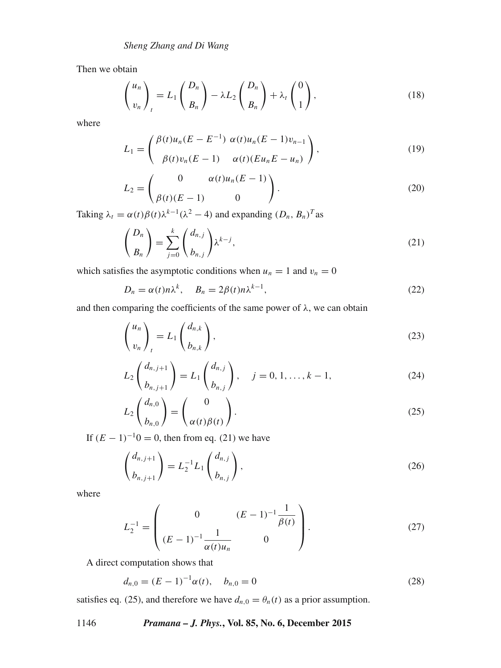Then we obtain

$$
\binom{u_n}{v_n}_t = L_1 \binom{D_n}{B_n} - \lambda L_2 \binom{D_n}{B_n} + \lambda_t \binom{0}{1},\tag{18}
$$

where

$$
L_1 = \begin{pmatrix} \beta(t)u_n(E - E^{-1}) & \alpha(t)u_n(E - 1)v_{n-1} \\ \beta(t)v_n(E - 1) & \alpha(t)(Eu_nE - u_n) \end{pmatrix},
$$
\n(19)

$$
L_2 = \begin{pmatrix} 0 & \alpha(t)u_n(E-1) \\ \beta(t)(E-1) & 0 \end{pmatrix}.
$$
 (20)

Taking  $\lambda_t = \alpha(t)\beta(t)\lambda^{k-1}(\lambda^2 - 4)$  and expanding  $(D_n, B_n)^T$  as

$$
\binom{D_n}{B_n} = \sum_{j=0}^k \binom{d_{n,j}}{b_{n,j}} \lambda^{k-j},\tag{21}
$$

which satisfies the asymptotic conditions when  $u_n = 1$  and  $v_n = 0$ 

$$
D_n = \alpha(t)n\lambda^k, \quad B_n = 2\beta(t)n\lambda^{k-1}, \tag{22}
$$

and then comparing the coefficients of the same power of  $\lambda$ , we can obtain

$$
\begin{pmatrix} u_n \\ v_n \end{pmatrix}_t = L_1 \begin{pmatrix} d_{n,k} \\ b_{n,k} \end{pmatrix},\tag{23}
$$

$$
L_2\binom{d_{n,j+1}}{b_{n,j+1}} = L_1\binom{d_{n,j}}{b_{n,j}}, \quad j = 0, 1, \dots, k-1,
$$
 (24)

$$
L_2 \begin{pmatrix} d_{n,0} \\ b_{n,0} \end{pmatrix} = \begin{pmatrix} 0 \\ \alpha(t)\beta(t) \end{pmatrix}.
$$
 (25)

If  $(E - 1)^{-1}0 = 0$ , then from eq. (21) we have

$$
\binom{d_{n,j+1}}{b_{n,j+1}} = L_2^{-1} L_1 \binom{d_{n,j}}{b_{n,j}},
$$
\n(26)

where

$$
L_2^{-1} = \begin{pmatrix} 0 & (E-1)^{-1} \frac{1}{\beta(t)} \\ (E-1)^{-1} \frac{1}{\alpha(t)u_n} & 0 \end{pmatrix}.
$$
 (27)

A direct computation shows that

$$
d_{n,0} = (E - 1)^{-1} \alpha(t), \quad b_{n,0} = 0 \tag{28}
$$

satisfies eq. (25), and therefore we have  $d_{n,0} = \theta_n(t)$  as a prior assumption.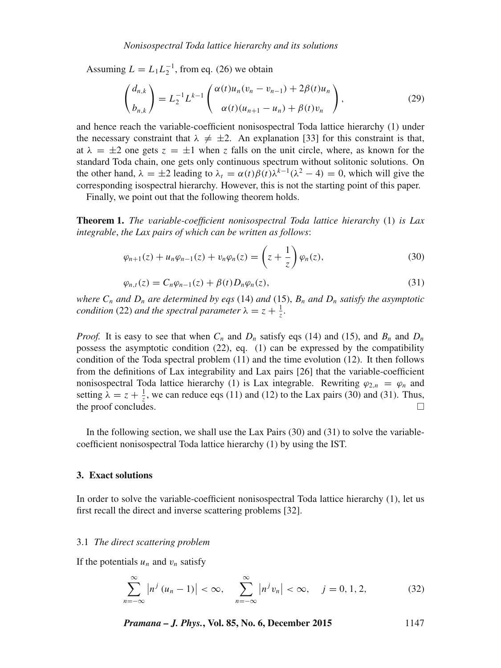Assuming  $L = L_1 L_2^{-1}$ , from eq. (26) we obtain

$$
\begin{pmatrix} d_{n,k} \\ b_{n,k} \end{pmatrix} = L_2^{-1} L^{k-1} \begin{pmatrix} \alpha(t)u_n(v_n - v_{n-1}) + 2\beta(t)u_n \\ \alpha(t)(u_{n+1} - u_n) + \beta(t)v_n \end{pmatrix},
$$
(29)

and hence reach the variable-coefficient nonisospectral Toda lattice hierarchy (1) under the necessary constraint that  $\lambda \neq \pm 2$ . An explanation [33] for this constraint is that, at  $\lambda = \pm 2$  one gets  $z = \pm 1$  when z falls on the unit circle, where, as known for the standard Toda chain, one gets only continuous spectrum without solitonic solutions. On the other hand,  $\lambda = \pm 2$  leading to  $\lambda_t = \alpha(t)\beta(t)\lambda^{k-1}(\lambda^2 - 4) = 0$ , which will give the corresponding isospectral hierarchy. However, this is not the starting point of this paper.

Finally, we point out that the following theorem holds.

**Theorem 1.** *The* v*ariable-coefficient nonisospectral Toda lattice hierarchy* (1) *is Lax integrable*, *the Lax pairs of which can be written as follows*:

$$
\varphi_{n+1}(z) + u_n \varphi_{n-1}(z) + v_n \varphi_n(z) = \left(z + \frac{1}{z}\right) \varphi_n(z),\tag{30}
$$

$$
\varphi_{n,t}(z) = C_n \varphi_{n-1}(z) + \beta(t) D_n \varphi_n(z), \qquad (31)
$$

*where*  $C_n$  *and*  $D_n$  *are determined by eqs* (14) *and* (15),  $B_n$  *and*  $D_n$  *satisfy the asymptotic condition* (22) *and the spectral parameter*  $\lambda = z + \frac{1}{z}$ *.* 

*Proof.* It is easy to see that when  $C_n$  and  $D_n$  satisfy eqs (14) and (15), and  $B_n$  and  $D_n$ possess the asymptotic condition (22), eq. (1) can be expressed by the compatibility condition of the Toda spectral problem (11) and the time evolution (12). It then follows from the definitions of Lax integrability and Lax pairs [26] that the variable-coefficient nonisospectral Toda lattice hierarchy (1) is Lax integrable. Rewriting  $\varphi_{2n} = \varphi_n$  and setting  $\lambda = z + \frac{1}{z}$ , we can reduce eqs (11) and (12) to the Lax pairs (30) and (31). Thus, the proof concludes.  $\Box$ 

In the following section, we shall use the Lax Pairs (30) and (31) to solve the variablecoefficient nonisospectral Toda lattice hierarchy (1) by using the IST.

## **3. Exact solutions**

In order to solve the variable-coefficient nonisospectral Toda lattice hierarchy (1), let us first recall the direct and inverse scattering problems [32].

## 3.1 *The direct scattering problem*

If the potentials  $u_n$  and  $v_n$  satisfy

$$
\sum_{n=-\infty}^{\infty} |n^j (u_n - 1)| < \infty, \quad \sum_{n=-\infty}^{\infty} |n^j v_n| < \infty, \quad j = 0, 1, 2,
$$
 (32)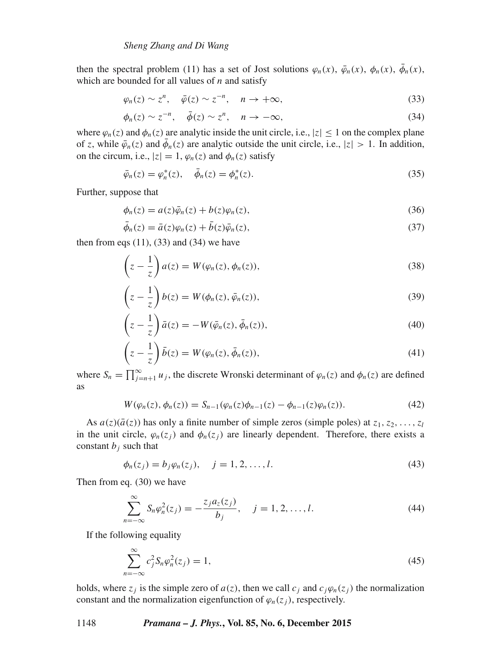then the spectral problem (11) has a set of Jost solutions  $\varphi_n(x)$ ,  $\bar{\varphi}_n(x)$ ,  $\bar{\varphi}_n(x)$ ,  $\bar{\varphi}_n(x)$ , which are bounded for all values of  $n$  and satisfy

$$
\varphi_n(z) \sim z^n, \quad \bar{\varphi}(z) \sim z^{-n}, \quad n \to +\infty,
$$
\n(33)

$$
\phi_n(z) \sim z^{-n}, \quad \bar{\phi}(z) \sim z^n, \quad n \to -\infty,
$$
\n(34)

where  $\varphi_n(z)$  and  $\varphi_n(z)$  are analytic inside the unit circle, i.e.,  $|z| \leq 1$  on the complex plane of z, while  $\bar{\varphi}_n(z)$  and  $\bar{\varphi}_n(z)$  are analytic outside the unit circle, i.e.,  $|z| > 1$ . In addition, on the circum, i.e.,  $|z| = 1$ ,  $\varphi_n(z)$  and  $\varphi_n(z)$  satisfy

$$
\bar{\varphi}_n(z) = \varphi_n^*(z), \quad \bar{\phi}_n(z) = \phi_n^*(z). \tag{35}
$$

Further, suppose that

$$
\phi_n(z) = a(z)\bar{\phi}_n(z) + b(z)\varphi_n(z),\tag{36}
$$

$$
\bar{\phi}_n(z) = \bar{a}(z)\varphi_n(z) + \bar{b}(z)\bar{\varphi}_n(z),\tag{37}
$$

then from eqs  $(11)$ ,  $(33)$  and  $(34)$  we have

$$
\left(z - \frac{1}{z}\right) a(z) = W(\varphi_n(z), \phi_n(z)),\tag{38}
$$

$$
\left(z - \frac{1}{z}\right)b(z) = W(\phi_n(z), \bar{\phi}_n(z)),\tag{39}
$$

$$
\left(z - \frac{1}{z}\right)\bar{a}(z) = -W(\bar{\varphi}_n(z), \bar{\phi}_n(z)),\tag{40}
$$

$$
\left(z - \frac{1}{z}\right)\bar{b}(z) = W(\varphi_n(z), \bar{\phi}_n(z)),\tag{41}
$$

where  $S_n = \prod_{j=n+1}^{\infty} u_j$ , the discrete Wronski determinant of  $\varphi_n(z)$  and  $\phi_n(z)$  are defined as

$$
W(\varphi_n(z), \phi_n(z)) = S_{n-1}(\varphi_n(z)\phi_{n-1}(z) - \phi_{n-1}(z)\varphi_n(z)).
$$
\n(42)

As  $a(z)(\bar{a}(z))$  has only a finite number of simple zeros (simple poles) at  $z_1, z_2, \ldots, z_l$ in the unit circle,  $\varphi_n(z_j)$  and  $\varphi_n(z_j)$  are linearly dependent. Therefore, there exists a constant  $b_i$  such that

$$
\phi_n(z_j) = b_j \varphi_n(z_j), \quad j = 1, 2, \dots, l. \tag{43}
$$

Then from eq. (30) we have

$$
\sum_{n=-\infty}^{\infty} S_n \varphi_n^2(z_j) = -\frac{z_j a_z(z_j)}{b_j}, \quad j = 1, 2, ..., l.
$$
 (44)

If the following equality

$$
\sum_{n=-\infty}^{\infty} c_j^2 S_n \varphi_n^2(z_j) = 1,
$$
\n(45)

holds, where  $z_j$  is the simple zero of  $a(z)$ , then we call  $c_j$  and  $c_j\varphi_n(z_j)$  the normalization constant and the normalization eigenfunction of  $\varphi_n(z_j)$ , respectively.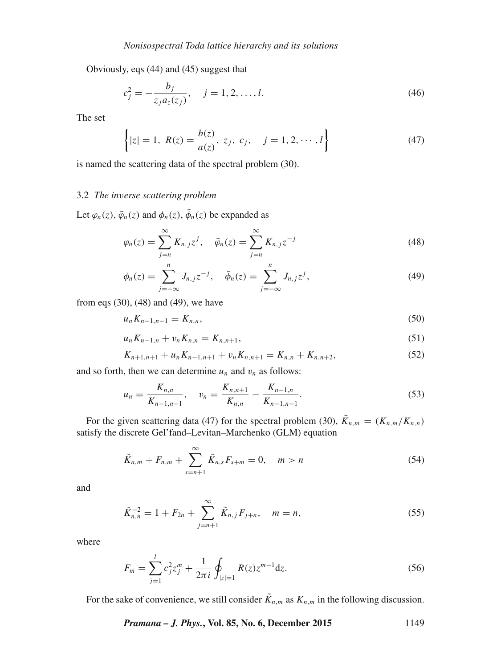Obviously, eqs (44) and (45) suggest that

$$
c_j^2 = -\frac{b_j}{z_j a_z(z_j)}, \quad j = 1, 2, \dots, l.
$$
 (46)

The set

$$
\left\{ |z| = 1, \ R(z) = \frac{b(z)}{a(z)}, \ z_j, \ c_j, \quad j = 1, 2, \cdots, l \right\}
$$
 (47)

is named the scattering data of the spectral problem (30).

## 3.2 *The in*v*erse scattering problem*

Let  $\varphi_n(z)$ ,  $\bar{\varphi}_n(z)$  and  $\varphi_n(z)$ ,  $\bar{\varphi}_n(z)$  be expanded as

$$
\varphi_n(z) = \sum_{j=n}^{\infty} K_{n,j} z^j, \quad \bar{\varphi}_n(z) = \sum_{j=n}^{\infty} K_{n,j} z^{-j}
$$
\n(48)

$$
\phi_n(z) = \sum_{j=-\infty}^n J_{n,j} z^{-j}, \quad \bar{\phi}_n(z) = \sum_{j=-\infty}^n J_{n,j} z^j,
$$
\n(49)

from eqs (30), (48) and (49), we have

$$
u_n K_{n-1,n-1} = K_{n,n},\tag{50}
$$

$$
u_n K_{n-1,n} + v_n K_{n,n} = K_{n,n+1}, \tag{51}
$$

$$
K_{n+1,n+1} + u_n K_{n-1,n+1} + v_n K_{n,n+1} = K_{n,n} + K_{n,n+2},
$$
\n(52)

and so forth, then we can determine  $u_n$  and  $v_n$  as follows:

$$
u_n = \frac{K_{n,n}}{K_{n-1,n-1}}, \quad v_n = \frac{K_{n,n+1}}{K_{n,n}} - \frac{K_{n-1,n}}{K_{n-1,n-1}}.
$$
\n
$$
(53)
$$

For the given scattering data (47) for the spectral problem (30),  $\tilde{K}_{n,m} = (K_{n,m}/K_{n,n})$ satisfy the discrete Gel'fand–Levitan–Marchenko (GLM) equation

$$
\tilde{K}_{n,m} + F_{n,m} + \sum_{s=n+1}^{\infty} \tilde{K}_{n,s} F_{s+m} = 0, \quad m > n
$$
\n(54)

and

$$
\tilde{K}_{n,n}^{-2} = 1 + F_{2n} + \sum_{j=n+1}^{\infty} \tilde{K}_{n,j} F_{j+n}, \quad m = n,
$$
\n(55)

where

$$
F_m = \sum_{j=1}^{l} c_j^2 z_j^m + \frac{1}{2\pi i} \oint_{|z|=1} R(z) z^{m-1} dz.
$$
 (56)

For the sake of convenience, we still consider  $\tilde{K}_{n,m}$  as  $K_{n,m}$  in the following discussion.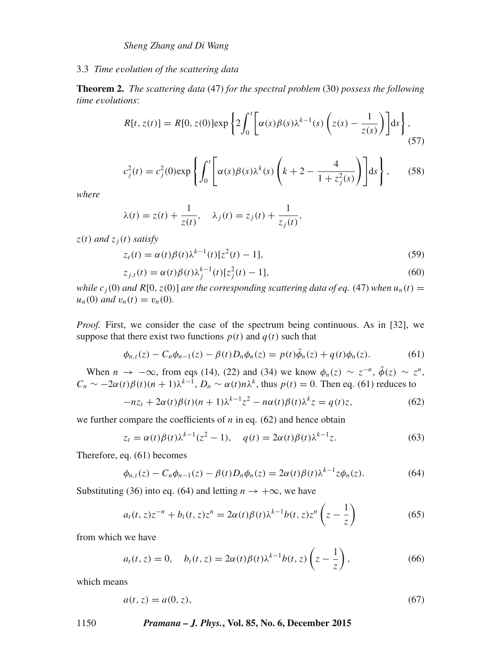## 3.3 *Time e*v*olution of the scattering data*

**Theorem 2.** *The scattering data* (47) *for the spectral problem* (30) *possess the following time e*v*olutions*:

$$
R[t, z(t)] = R[0, z(0)] \exp\left\{2 \int_0^t \left[\alpha(s)\beta(s)\lambda^{k-1}(s)\left(z(s) - \frac{1}{z(s)}\right)\right]ds\right\},\tag{57}
$$

$$
c_j^2(t) = c_j^2(0) \exp\left\{ \int_0^t \left[ \alpha(s) \beta(s) \lambda^k(s) \left( k + 2 - \frac{4}{1 + z_j^2(s)} \right) \right] ds \right\}, \quad (58)
$$

*where*

$$
\lambda(t) = z(t) + \frac{1}{z(t)}, \quad \lambda_j(t) = z_j(t) + \frac{1}{z_j(t)},
$$

 $z(t)$  *and*  $z<sub>i</sub>(t)$  *satisfy* 

$$
z_t(t) = \alpha(t)\beta(t)\lambda^{k-1}(t)[z^2(t) - 1],
$$
\n(59)

$$
z_{j,t}(t) = \alpha(t)\beta(t)\lambda_j^{k-1}(t)[z_j^2(t) - 1],
$$
\n(60)

*while*  $c_i(0)$  *and*  $R[0, z(0)]$  *are the corresponding scattering data of eq.* (47) *when*  $u_n(t)$  =  $u_n(0)$  *and*  $v_n(t) = v_n(0)$ .

*Proof.* First, we consider the case of the spectrum being continuous. As in [32], we suppose that there exist two functions  $p(t)$  and  $q(t)$  such that

$$
\phi_{n,t}(z) - C_n \phi_{n-1}(z) - \beta(t) D_n \phi_n(z) = p(t) \phi_n(z) + q(t) \phi_n(z).
$$
 (61)

When  $n \to -\infty$ , from eqs (14), (22) and (34) we know  $\phi_n(z) \sim z^{-n}$ ,  $\bar{\phi}(z) \sim z^n$ ,  $C_n \sim -2\alpha(t)\beta(t)(n+1)\lambda^{k-1}$ ,  $D_n \sim \alpha(t)n\lambda^k$ , thus  $p(t) = 0$ . Then eq. (61) reduces to

$$
-nz_t + 2\alpha(t)\beta(t)(n+1)\lambda^{k-1}z^2 - n\alpha(t)\beta(t)\lambda^k z = q(t)z,
$$
\n(62)

we further compare the coefficients of  $n$  in eq. (62) and hence obtain

$$
z_t = \alpha(t)\beta(t)\lambda^{k-1}(z^2 - 1), \quad q(t) = 2\alpha(t)\beta(t)\lambda^{k-1}z.
$$
 (63)

Therefore, eq. (61) becomes

$$
\phi_{n,t}(z) - C_n \phi_{n-1}(z) - \beta(t) D_n \phi_n(z) = 2\alpha(t) \beta(t) \lambda^{k-1} z \phi_n(z). \tag{64}
$$

Substituting (36) into eq. (64) and letting  $n \to +\infty$ , we have

$$
a_t(t, z)z^{-n} + b_t(t, z)z^n = 2\alpha(t)\beta(t)\lambda^{k-1}b(t, z)z^n\left(z - \frac{1}{z}\right)
$$
(65)

from which we have

$$
a_t(t, z) = 0, \quad b_t(t, z) = 2\alpha(t)\beta(t)\lambda^{k-1}b(t, z)\left(z - \frac{1}{z}\right),
$$
 (66)

which means

$$
a(t, z) = a(0, z),
$$
\n(67)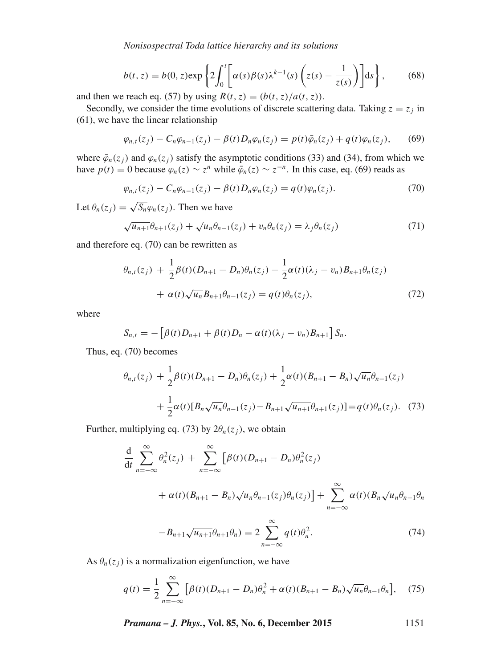*Nonisospectral Toda lattice hierarchy and its solutions*

$$
b(t, z) = b(0, z) \exp\left\{2 \int_0^t \left[\alpha(s)\beta(s)\lambda^{k-1}(s)\left(z(s) - \frac{1}{z(s)}\right)\right]ds\right\},\qquad(68)
$$

and then we reach eq. (57) by using  $R(t, z) = (b(t, z)/a(t, z))$ .

Secondly, we consider the time evolutions of discrete scattering data. Taking  $z = z_j$  in (61), we have the linear relationship

$$
\varphi_{n,t}(z_j) - C_n \varphi_{n-1}(z_j) - \beta(t) D_n \varphi_n(z_j) = p(t) \bar{\varphi}_n(z_j) + q(t) \varphi_n(z_j), \qquad (69)
$$

where  $\bar{\varphi}_n(z_i)$  and  $\varphi_n(z_i)$  satisfy the asymptotic conditions (33) and (34), from which we have  $p(t) = 0$  because  $\varphi_n(z) \sim z^n$  while  $\bar{\varphi}_n(z) \sim z^{-n}$ . In this case, eq. (69) reads as

$$
\varphi_{n,t}(z_j) - C_n \varphi_{n-1}(z_j) - \beta(t) D_n \varphi_n(z_j) = q(t) \varphi_n(z_j). \tag{70}
$$

Let  $\theta_n(z_i) = \sqrt{S_n} \varphi_n(z_i)$ . Then we have

$$
\sqrt{u_{n+1}}\theta_{n+1}(z_j) + \sqrt{u_n}\theta_{n-1}(z_j) + v_n\theta_n(z_j) = \lambda_j\theta_n(z_j)
$$
\n(71)

and therefore eq. (70) can be rewritten as

$$
\theta_{n,t}(z_j) + \frac{1}{2}\beta(t)(D_{n+1} - D_n)\theta_n(z_j) - \frac{1}{2}\alpha(t)(\lambda_j - v_n)B_{n+1}\theta_n(z_j) + \alpha(t)\sqrt{u_n}B_{n+1}\theta_{n-1}(z_j) = q(t)\theta_n(z_j),
$$
\n(72)

where

$$
S_{n,t} = -\left[\beta(t)D_{n+1} + \beta(t)D_n - \alpha(t)(\lambda_j - v_n)B_{n+1}\right]S_n.
$$

Thus, eq. (70) becomes

$$
\theta_{n,t}(z_j) + \frac{1}{2}\beta(t)(D_{n+1} - D_n)\theta_n(z_j) + \frac{1}{2}\alpha(t)(B_{n+1} - B_n)\sqrt{u_n}\theta_{n-1}(z_j)
$$

$$
+ \frac{1}{2}\alpha(t)[B_n\sqrt{u_n}\theta_{n-1}(z_j) - B_{n+1}\sqrt{u_{n+1}}\theta_{n+1}(z_j)] = q(t)\theta_n(z_j). \quad (73)
$$

Further, multiplying eq. (73) by  $2\theta_n(z_i)$ , we obtain

$$
\frac{d}{dt} \sum_{n=-\infty}^{\infty} \theta_n^2(z_j) + \sum_{n=-\infty}^{\infty} \left[ \beta(t) (D_{n+1} - D_n) \theta_n^2(z_j) \right]
$$

$$
+ \alpha(t) (B_{n+1} - B_n) \sqrt{u_n} \theta_{n-1}(z_j) \theta_n(z_j) + \sum_{n=-\infty}^{\infty} \alpha(t) (B_n \sqrt{u_n} \theta_{n-1} \theta_n)
$$

$$
-B_{n+1} \sqrt{u_{n+1}} \theta_{n+1} \theta_n) = 2 \sum_{n=-\infty}^{\infty} q(t) \theta_n^2.
$$
(74)

As  $\theta_n(z_i)$  is a normalization eigenfunction, we have

$$
q(t) = \frac{1}{2} \sum_{n = -\infty}^{\infty} \left[ \beta(t) (D_{n+1} - D_n) \theta_n^2 + \alpha(t) (B_{n+1} - B_n) \sqrt{u_n} \theta_{n-1} \theta_n \right], \quad (75)
$$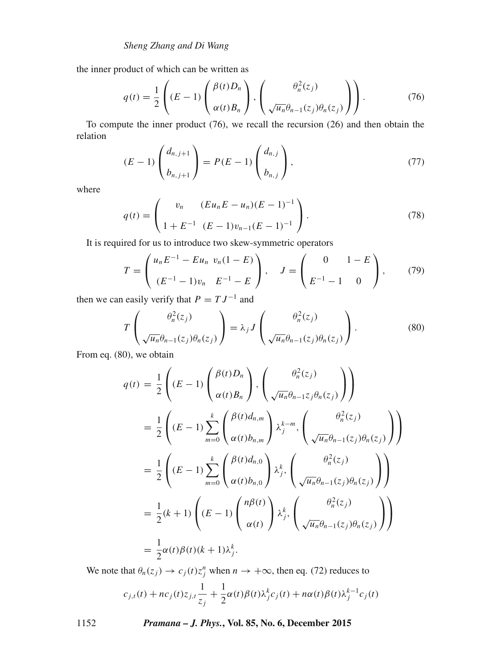the inner product of which can be written as

$$
q(t) = \frac{1}{2} \left( (E - 1) \left( \frac{\beta(t) D_n}{\alpha(t) B_n} \right), \left( \frac{\theta_n^2(z_j)}{\sqrt{u_n} \theta_{n-1}(z_j) \theta_n(z_j)} \right) \right).
$$
 (76)

To compute the inner product (76), we recall the recursion (26) and then obtain the relation

$$
(E-1)\begin{pmatrix} d_{n,j+1} \\ b_{n,j+1} \end{pmatrix} = P(E-1)\begin{pmatrix} d_{n,j} \\ b_{n,j} \end{pmatrix},
$$
\n(77)

where

$$
q(t) = \begin{pmatrix} v_n & (Eu_n E - u_n)(E - 1)^{-1} \\ 1 + E^{-1} & (E - 1)v_{n-1}(E - 1)^{-1} \end{pmatrix} . \tag{78}
$$

It is required for us to introduce two skew-symmetric operators

$$
T = \begin{pmatrix} u_n E^{-1} - E u_n & v_n (1 - E) \\ (E^{-1} - 1) v_n & E^{-1} - E \end{pmatrix}, \quad J = \begin{pmatrix} 0 & 1 - E \\ E^{-1} - 1 & 0 \end{pmatrix}, \quad (79)
$$

then we can easily verify that  $P = TJ^{-1}$  and

$$
T\left(\frac{\theta_n^2(z_j)}{\sqrt{u_n}\theta_{n-1}(z_j)\theta_n(z_j)}\right) = \lambda_j J\left(\frac{\theta_n^2(z_j)}{\sqrt{u_n}\theta_{n-1}(z_j)\theta_n(z_j)}\right).
$$
 (80)

From eq. (80), we obtain

$$
q(t) = \frac{1}{2} \left( (E - 1) \begin{pmatrix} \beta(t)D_n \\ \alpha(t)B_n \end{pmatrix}, \begin{pmatrix} \theta_n^2(z_j) \\ \sqrt{u_n} \theta_{n-1}z_j \theta_n(z_j) \end{pmatrix} \right)
$$
  
\n
$$
= \frac{1}{2} \left( (E - 1) \sum_{m=0}^k \begin{pmatrix} \beta(t) d_{n,m} \\ \alpha(t) b_{n,m} \end{pmatrix} \lambda_j^{k-m}, \begin{pmatrix} \theta_n^2(z_j) \\ \sqrt{u_n} \theta_{n-1}(z_j) \theta_n(z_j) \end{pmatrix} \right)
$$
  
\n
$$
= \frac{1}{2} \left( (E - 1) \sum_{m=0}^k \begin{pmatrix} \beta(t) d_{n,0} \\ \alpha(t) b_{n,0} \end{pmatrix} \lambda_j^k, \begin{pmatrix} \theta_n^2(z_j) \\ \sqrt{u_n} \theta_{n-1}(z_j) \theta_n(z_j) \end{pmatrix} \right)
$$
  
\n
$$
= \frac{1}{2} (k+1) \left( (E - 1) \begin{pmatrix} n\beta(t) \\ \alpha(t) \end{pmatrix} \lambda_j^k, \begin{pmatrix} \theta_n^2(z_j) \\ \sqrt{u_n} \theta_{n-1}(z_j) \theta_n(z_j) \end{pmatrix} \right)
$$
  
\n
$$
= \frac{1}{2} \alpha(t) \beta(t) (k+1) \lambda_j^k.
$$

We note that  $\theta_n(z_j) \to c_j(t) z_j^n$  when  $n \to +\infty$ , then eq. (72) reduces to

$$
c_{j,t}(t) + nc_j(t)z_{j,t}\frac{1}{z_j} + \frac{1}{2}\alpha(t)\beta(t)\lambda_j^k c_j(t) + n\alpha(t)\beta(t)\lambda_j^{k-1} c_j(t)
$$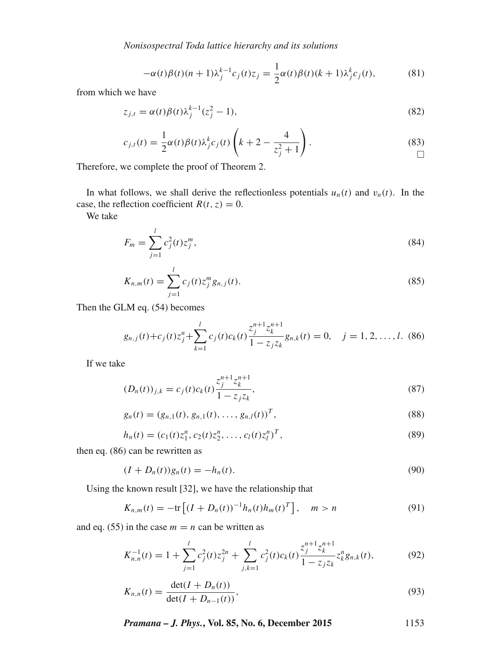*Nonisospectral Toda lattice hierarchy and its solutions*

$$
-\alpha(t)\beta(t)(n+1)\lambda_j^{k-1}c_j(t)z_j = \frac{1}{2}\alpha(t)\beta(t)(k+1)\lambda_j^k c_j(t),\tag{81}
$$

from which we have

$$
z_{j,t} = \alpha(t)\beta(t)\lambda_j^{k-1}(z_j^2 - 1),
$$
\n(82)

$$
c_{j,t}(t) = \frac{1}{2}\alpha(t)\beta(t)\lambda_j^k c_j(t)\left(k+2-\frac{4}{z_j^2+1}\right).
$$
\n(83)

Therefore, we complete the proof of Theorem 2.

In what follows, we shall derive the reflectionless potentials  $u_n(t)$  and  $v_n(t)$ . In the case, the reflection coefficient  $R(t, z) = 0$ .

We take

$$
F_m = \sum_{j=1}^{l} c_j^2(t) z_j^m,
$$
\n(84)

$$
K_{n,m}(t) = \sum_{j=1}^{l} c_j(t) z_j^{m} g_{n,j}(t).
$$
\n(85)

Then the GLM eq. (54) becomes

$$
g_{n,j}(t) + c_j(t)z_j^n + \sum_{k=1}^l c_j(t)c_k(t) \frac{z_j^{n+1} z_k^{n+1}}{1 - z_j z_k} g_{n,k}(t) = 0, \quad j = 1, 2, ..., l. \tag{86}
$$

If we take

$$
(D_n(t))_{j,k} = c_j(t)c_k(t)\frac{z_j^{n+1}z_k^{n+1}}{1 - z_jz_k},
$$
\n(87)

$$
g_n(t) = (g_{n,1}(t), g_{n,1}(t), \dots, g_{n,l}(t))^T,
$$
\n(88)

$$
h_n(t) = (c_1(t)z_1^n, c_2(t)z_2^n, \dots, c_l(t)z_l^n)^T,
$$
\n(89)

then eq. (86) can be rewritten as

$$
(I + D_n(t))g_n(t) = -h_n(t).
$$
\n(90)

Using the known result [32], we have the relationship that

$$
K_{n,m}(t) = -\text{tr}\left[ (I + D_n(t))^{-1} h_n(t) h_m(t)^T \right], \quad m > n \tag{91}
$$

and eq. (55) in the case  $m = n$  can be written as

$$
K_{n,n}^{-1}(t) = 1 + \sum_{j=1}^{l} c_j^2(t) z_j^{2n} + \sum_{j,k=1}^{l} c_j^2(t) c_k(t) \frac{z_j^{n+1} z_k^{n+1}}{1 - z_j z_k} z_k^n g_{n,k}(t),
$$
(92)

$$
K_{n,n}(t) = \frac{\det(I + D_n(t))}{\det(I + D_{n-1}(t))},\tag{93}
$$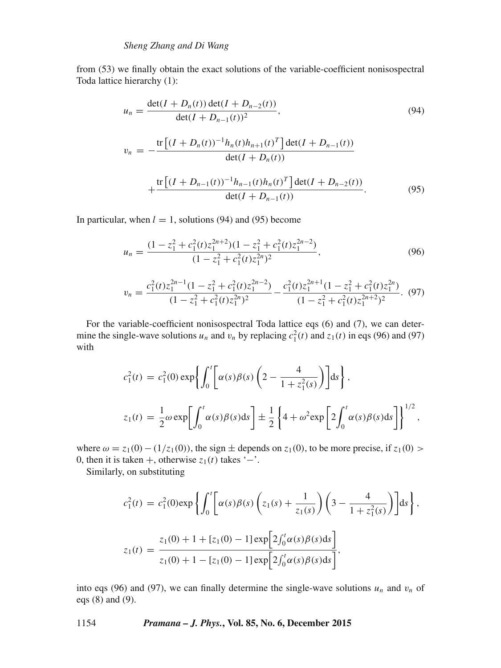from (53) we finally obtain the exact solutions of the variable-coefficient nonisospectral Toda lattice hierarchy (1):

$$
u_n = \frac{\det(I + D_n(t)) \det(I + D_{n-2}(t))}{\det(I + D_{n-1}(t))^2},
$$
\n
$$
v_n = -\frac{\text{tr}\left[(I + D_n(t))^{-1}h_n(t)h_{n+1}(t)^T\right] \det(I + D_{n-1}(t))}{\det(I + D_n(t))} + \frac{\text{tr}\left[(I + D_{n-1}(t))^{-1}h_{n-1}(t)h_n(t)^T\right] \det(I + D_{n-2}(t))}{\det(I + D_{n-1}(t))}.
$$
\n(95)

In particular, when  $l = 1$ , solutions (94) and (95) become

$$
u_n = \frac{(1 - z_1^2 + c_1^2(t)z_1^{2n+2})(1 - z_1^2 + c_1^2(t)z_1^{2n-2})}{(1 - z_1^2 + c_1^2(t)z_1^{2n})^2},
$$
\n(96)

$$
v_n = \frac{c_1^2(t)z_1^{2n-1}(1-z_1^2+c_1^2(t)z_1^{2n-2})}{(1-z_1^2+c_1^2(t)z_1^{2n})^2} - \frac{c_1^2(t)z_1^{2n+1}(1-z_1^2+c_1^2(t)z_1^{2n})}{(1-z_1^2+c_1^2(t)z_1^{2n+2})^2}.
$$
 (97)

For the variable-coefficient nonisospectral Toda lattice eqs (6) and (7), we can determine the single-wave solutions  $u_n$  and  $v_n$  by replacing  $c_1^2(t)$  and  $z_1(t)$  in eqs (96) and (97) with

$$
c_1^2(t) = c_1^2(0) \exp\left\{ \int_0^t \left[ \alpha(s)\beta(s) \left( 2 - \frac{4}{1 + z_1^2(s)} \right) \right] ds \right\},\
$$
  

$$
z_1(t) = \frac{1}{2} \omega \exp\left[ \int_0^t \alpha(s)\beta(s)ds \right] \pm \frac{1}{2} \left\{ 4 + \omega^2 \exp\left[ 2 \int_0^t \alpha(s)\beta(s)ds \right] \right\}^{1/2},\
$$

where  $\omega = z_1(0) - (1/z_1(0))$ , the sign  $\pm$  depends on  $z_1(0)$ , to be more precise, if  $z_1(0)$  > 0, then it is taken +, otherwise  $z_1(t)$  takes '−'.

Similarly, on substituting

$$
c_1^2(t) = c_1^2(0) \exp \left\{ \int_0^t \left[ \alpha(s)\beta(s) \left( z_1(s) + \frac{1}{z_1(s)} \right) \left( 3 - \frac{4}{1 + z_1^2(s)} \right) \right] ds \right\},\,
$$
  

$$
z_1(t) = \frac{z_1(0) + 1 + [z_1(0) - 1] \exp \left[ 2 \int_0^t \alpha(s)\beta(s) ds \right]}{z_1(0) + 1 - [z_1(0) - 1] \exp \left[ 2 \int_0^t \alpha(s)\beta(s) ds \right]},
$$

into eqs (96) and (97), we can finally determine the single-wave solutions  $u_n$  and  $v_n$  of eqs (8) and (9).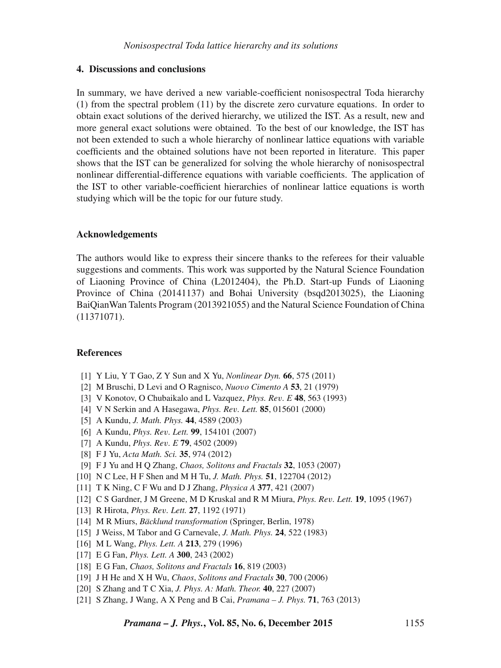## **4. Discussions and conclusions**

In summary, we have derived a new variable-coefficient nonisospectral Toda hierarchy (1) from the spectral problem (11) by the discrete zero curvature equations. In order to obtain exact solutions of the derived hierarchy, we utilized the IST. As a result, new and more general exact solutions were obtained. To the best of our knowledge, the IST has not been extended to such a whole hierarchy of nonlinear lattice equations with variable coefficients and the obtained solutions have not been reported in literature. This paper shows that the IST can be generalized for solving the whole hierarchy of nonisospectral nonlinear differential-difference equations with variable coefficients. The application of the IST to other variable-coefficient hierarchies of nonlinear lattice equations is worth studying which will be the topic for our future study.

#### **Acknowledgements**

The authors would like to express their sincere thanks to the referees for their valuable suggestions and comments. This work was supported by the Natural Science Foundation of Liaoning Province of China (L2012404), the Ph.D. Start-up Funds of Liaoning Province of China (20141137) and Bohai University (bsqd2013025), the Liaoning BaiQianWan Talents Program (2013921055) and the Natural Science Foundation of China (11371071).

## **References**

- [1] Y Liu, Y T Gao, Z Y Sun and X Yu, *Nonlinear Dyn.* **66**, 575 (2011)
- [2] M Bruschi, D Levi and O Ragnisco, *Nuo*v*o Cimento A* **53**, 21 (1979)
- [3] V Konotov, O Chubaikalo and L Vazquez, *Phys. Re*v*. E* **48**, 563 (1993)
- [4] V N Serkin and A Hasegawa, *Phys. Re*v*. Lett.* **85**, 015601 (2000)
- [5] A Kundu, *J. Math. Phys.* **44**, 4589 (2003)
- [6] A Kundu, *Phys. Re*v*. Lett.* **99**, 154101 (2007)
- [7] A Kundu, *Phys. Re*v*. E* **79**, 4502 (2009)
- [8] F J Yu, *Acta Math. Sci.* **35**, 974 (2012)
- [9] F J Yu and H Q Zhang, *Chaos, Solitons and Fractals* **32**, 1053 (2007)
- [10] N C Lee, H F Shen and M H Tu, *J. Math. Phys.* **51**, 122704 (2012)
- [11] T K Ning, C F Wu and D J Zhang, *Physica A* **377**, 421 (2007)
- [12] C S Gardner, J M Greene, M D Kruskal and R M Miura, *Phys. Re*v*. Lett.* **19**, 1095 (1967)
- [13] R Hirota, *Phys. Re*v*. Lett.* **27**, 1192 (1971)
- [14] M R Miurs, *Bäcklund transformation* (Springer, Berlin, 1978)
- [15] J Weiss, M Tabor and G Carnevale, *J. Math. Phys.* **24**, 522 (1983)
- [16] M L Wang, *Phys. Lett. A* **213**, 279 (1996)
- [17] E G Fan, *Phys. Lett. A* **300**, 243 (2002)
- [18] E G Fan, *Chaos, Solitons and Fractals* **16**, 819 (2003)
- [19] J H He and X H Wu, *Chaos*, *Solitons and Fractals* **30**, 700 (2006)
- [20] S Zhang and T C Xia, *J. Phys. A: Math. Theor.* **40**, 227 (2007)
- [21] S Zhang, J Wang, A X Peng and B Cai, *Pramana J. Phys.* **71**, 763 (2013)